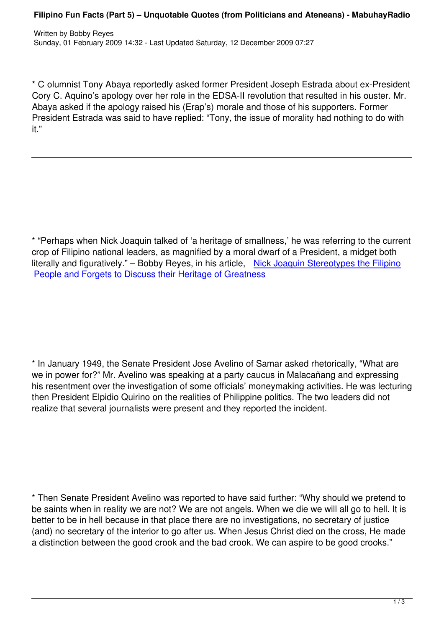\* C olumnist Tony Abaya reportedly asked former President Joseph Estrada about ex-President Cory C. Aquino's apology over her role in the EDSA-II revolution that resulted in his ouster. Mr. Abaya asked if the apology raised his (Erap's) morale and those of his supporters. Former President Estrada was said to have replied: "Tony, the issue of morality had nothing to do with it."

\* "Perhaps when Nick Joaquin talked of 'a heritage of smallness,' he was referring to the current crop of Filipino national leaders, as magnified by a moral dwarf of a President, a midget both literally and figuratively." – Bobby Reyes, in his article, Nick Joaquin Stereotypes the Filipino People and Forgets to Discuss their Heritage of Greatness

\* In January 1949, the Senate President Jose Avelino of Samar asked rhetorically, "What are we in power for?" Mr. Avelino was speaking at a party caucus in Malacañang and expressing his resentment over the investigation of some officials' moneymaking activities. He was lecturing then President Elpidio Quirino on the realities of Philippine politics. The two leaders did not realize that several journalists were present and they reported the incident.

\* Then Senate President Avelino was reported to have said further: "Why should we pretend to be saints when in reality we are not? We are not angels. When we die we will all go to hell. It is better to be in hell because in that place there are no investigations, no secretary of justice (and) no secretary of the interior to go after us. When Jesus Christ died on the cross, He made a distinction between the good crook and the bad crook. We can aspire to be good crooks."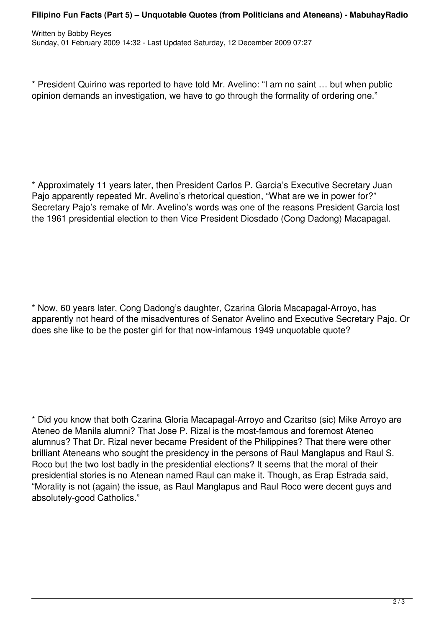## **Filipino Fun Facts (Part 5) – Unquotable Quotes (from Politicians and Ateneans) - MabuhayRadio**

\* President Quirino was reported to have told Mr. Avelino: "I am no saint … but when public opinion demands an investigation, we have to go through the formality of ordering one."

\* Approximately 11 years later, then President Carlos P. Garcia's Executive Secretary Juan Pajo apparently repeated Mr. Avelino's rhetorical question, "What are we in power for?" Secretary Pajo's remake of Mr. Avelino's words was one of the reasons President Garcia lost the 1961 presidential election to then Vice President Diosdado (Cong Dadong) Macapagal.

\* Now, 60 years later, Cong Dadong's daughter, Czarina Gloria Macapagal-Arroyo, has apparently not heard of the misadventures of Senator Avelino and Executive Secretary Pajo. Or does she like to be the poster girl for that now-infamous 1949 unquotable quote?

\* Did you know that both Czarina Gloria Macapagal-Arroyo and Czaritso (sic) Mike Arroyo are Ateneo de Manila alumni? That Jose P. Rizal is the most-famous and foremost Ateneo alumnus? That Dr. Rizal never became President of the Philippines? That there were other brilliant Ateneans who sought the presidency in the persons of Raul Manglapus and Raul S. Roco but the two lost badly in the presidential elections? It seems that the moral of their presidential stories is no Atenean named Raul can make it. Though, as Erap Estrada said, "Morality is not (again) the issue, as Raul Manglapus and Raul Roco were decent guys and absolutely-good Catholics."